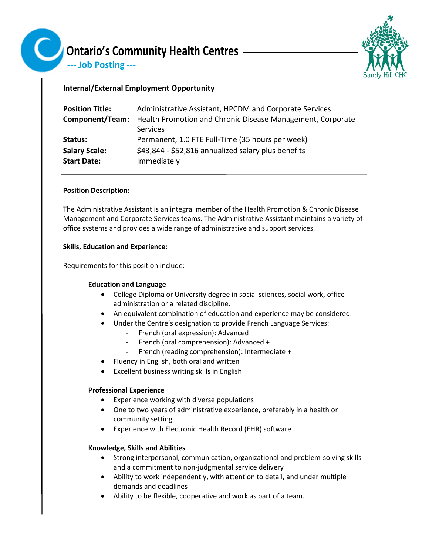

--- Job Posting ---

# **Internal/External Employment Opportunity**

| <b>Position Title:</b> | Administrative Assistant, HPCDM and Corporate Services     |
|------------------------|------------------------------------------------------------|
| Component/Team:        | Health Promotion and Chronic Disease Management, Corporate |
|                        | Services                                                   |
| Status:                | Permanent, 1.0 FTE Full-Time (35 hours per week)           |
| <b>Salary Scale:</b>   | \$43,844 - \$52,816 annualized salary plus benefits        |
| <b>Start Date:</b>     | Immediately                                                |

## **Position Description:**

The Administrative Assistant is an integral member of the Health Promotion & Chronic Disease Management and Corporate Services teams. The Administrative Assistant maintains a variety of office systems and provides a wide range of administrative and support services.

## **Skills, Education and Experience:**

Requirements for this position include:

# **Education and Language**

- College Diploma or University degree in social sciences, social work, office administration or a related discipline.
- An equivalent combination of education and experience may be considered.
- Under the Centre's designation to provide French Language Services:
	- French (oral expression): Advanced
	- French (oral comprehension): Advanced +
	- French (reading comprehension): Intermediate +
- Fluency in English, both oral and written
- Excellent business writing skills in English

# **Professional Experience**

- Experience working with diverse populations
- One to two years of administrative experience, preferably in a health or community setting
- Experience with Electronic Health Record (EHR) software

## **Knowledge, Skills and Abilities**

- Strong interpersonal, communication, organizational and problem-solving skills and a commitment to non-judgmental service delivery
- Ability to work independently, with attention to detail, and under multiple demands and deadlines
- Ability to be flexible, cooperative and work as part of a team.